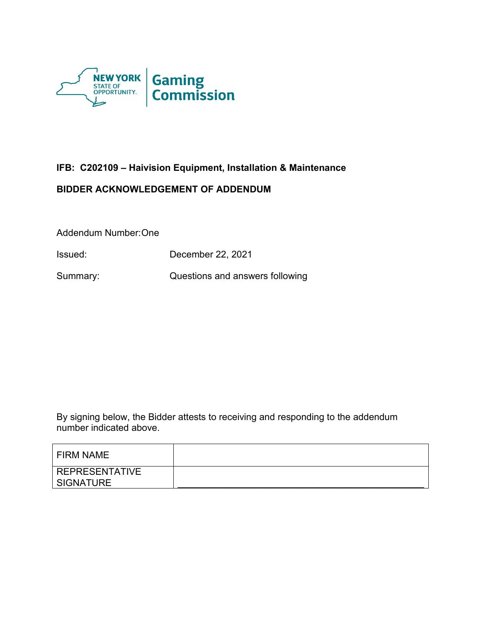

# **IFB: C202109 – Haivision Equipment, Installation & Maintenance**

## **BIDDER ACKNOWLEDGEMENT OF ADDENDUM**

Addendum Number:One

Issued: December 22, 2021

Summary: Questions and answers following

By signing below, the Bidder attests to receiving and responding to the addendum number indicated above.

| FIRM NAME                          |  |
|------------------------------------|--|
| <b>REPRESENTATIVE</b><br>SIGNATURE |  |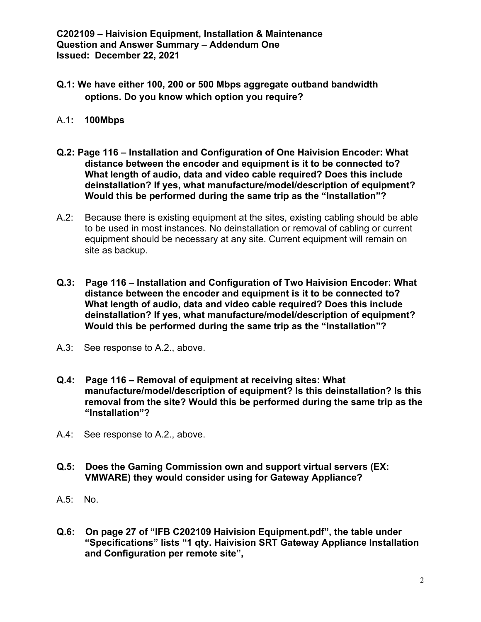- **Q.1: We have either 100, 200 or 500 Mbps aggregate outband bandwidth options. Do you know which option you require?**
- A.1**: 100Mbps**
- **Q.2: Page 116 – Installation and Configuration of One Haivision Encoder: What distance between the encoder and equipment is it to be connected to? What length of audio, data and video cable required? Does this include deinstallation? If yes, what manufacture/model/description of equipment? Would this be performed during the same trip as the "Installation"?**
- A.2: Because there is existing equipment at the sites, existing cabling should be able to be used in most instances. No deinstallation or removal of cabling or current equipment should be necessary at any site. Current equipment will remain on site as backup.
- **Q.3: Page 116 – Installation and Configuration of Two Haivision Encoder: What distance between the encoder and equipment is it to be connected to? What length of audio, data and video cable required? Does this include deinstallation? If yes, what manufacture/model/description of equipment? Would this be performed during the same trip as the "Installation"?**
- A.3: See response to A.2., above.
- **Q.4: Page 116 – Removal of equipment at receiving sites: What manufacture/model/description of equipment? Is this deinstallation? Is this removal from the site? Would this be performed during the same trip as the "Installation"?**
- A.4: See response to A.2., above.
- **Q.5: Does the Gaming Commission own and support virtual servers (EX: VMWARE) they would consider using for Gateway Appliance?**
- A.5: No.
- **Q.6: On page 27 of "IFB C202109 Haivision Equipment.pdf", the table under "Specifications" lists "1 qty. Haivision SRT Gateway Appliance Installation and Configuration per remote site",**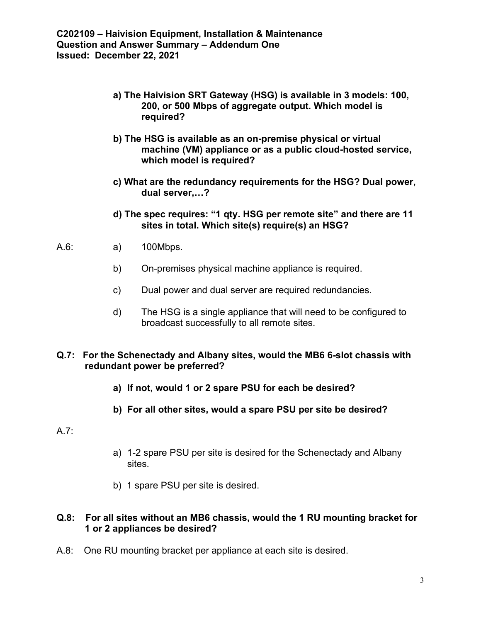- **a) The Haivision SRT Gateway (HSG) is available in 3 models: 100, 200, or 500 Mbps of aggregate output. Which model is required?**
- **b) The HSG is available as an on-premise physical or virtual machine (VM) appliance or as a public cloud-hosted service, which model is required?**
- **c) What are the redundancy requirements for the HSG? Dual power, dual server,…?**
- **d) The spec requires: "1 qty. HSG per remote site" and there are 11 sites in total. Which site(s) require(s) an HSG?**
- A.6: a) 100Mbps.
	- b) On-premises physical machine appliance is required.
	- c) Dual power and dual server are required redundancies.
	- d) The HSG is a single appliance that will need to be configured to broadcast successfully to all remote sites.

### **Q.7: For the Schenectady and Albany sites, would the MB6 6-slot chassis with redundant power be preferred?**

- **a) If not, would 1 or 2 spare PSU for each be desired?**
- **b) For all other sites, would a spare PSU per site be desired?**

### A.7:

- a) 1-2 spare PSU per site is desired for the Schenectady and Albany sites.
- b) 1 spare PSU per site is desired.

### **Q.8: For all sites without an MB6 chassis, would the 1 RU mounting bracket for 1 or 2 appliances be desired?**

A.8: One RU mounting bracket per appliance at each site is desired.